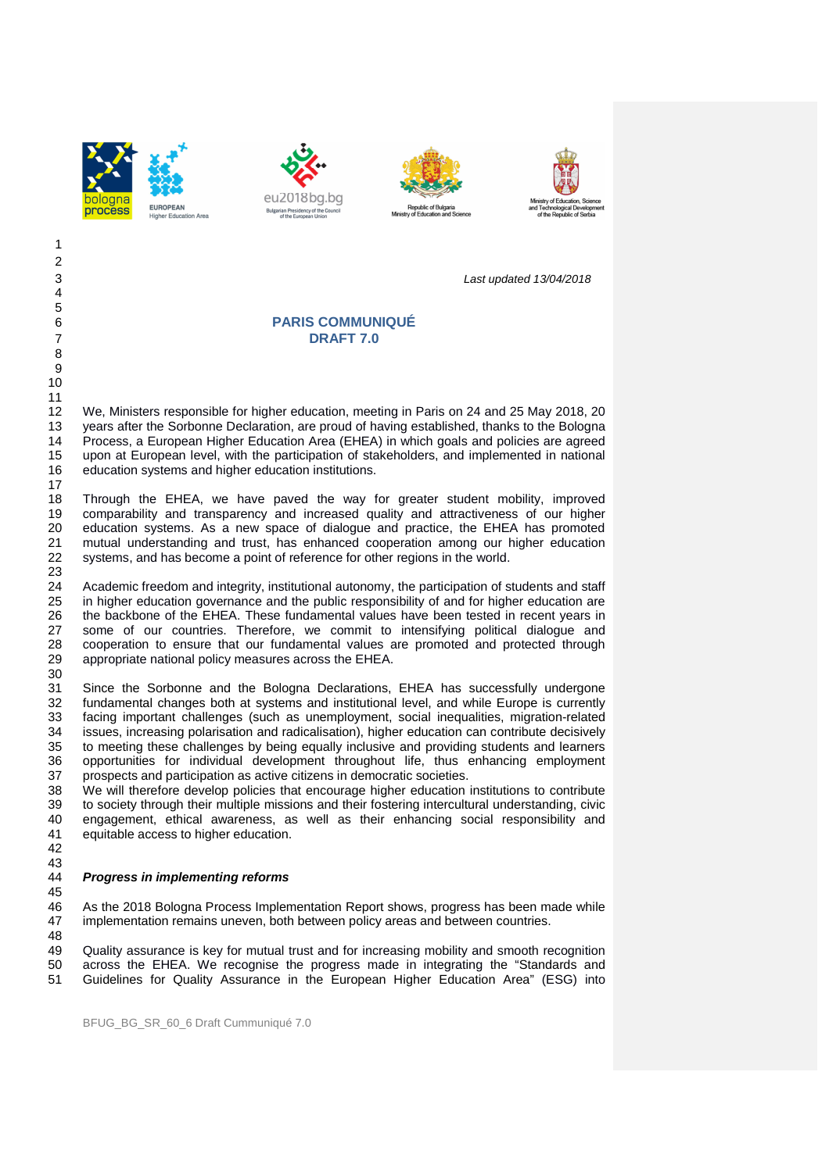







3 Last updated 13/04/2018

# 6 **PARIS COMMUNIQUÉ** 7 **DRAFT 7.0**

12 We, Ministers responsible for higher education, meeting in Paris on 24 and 25 May 2018, 20 13 years after the Sorbonne Declaration, are proud of having established, thanks to the Bologna 14 Process, a European Higher Education Area (EHEA) in which goals and policies are agreed 15 upon at European level, with the participation of stakeholders, and implemented in national 16 education systems and higher education institutions.

18 Through the EHEA, we have paved the way for greater student mobility, improved 19 comparability and transparency and increased quality and attractiveness of our higher 20 education systems. As a new space of dialogue and practice, the EHEA has promoted 21 mutual understanding and trust, has enhanced cooperation among our higher education 22 systems, and has become a point of reference for other regions in the world.

Academic freedom and integrity, institutional autonomy, the participation of students and staff 25 in higher education governance and the public responsibility of and for higher education are 26 the backbone of the EHEA. These fundamental values have been tested in recent years in<br>27 some of our countries. Therefore, we commit to intensifying political dialogue and some of our countries. Therefore, we commit to intensifying political dialogue and 28 cooperation to ensure that our fundamental values are promoted and protected through 29 appropriate national policy measures across the EHEA.

31 Since the Sorbonne and the Bologna Declarations, EHEA has successfully undergone 32 fundamental changes both at systems and institutional level, and while Europe is currently 33 facing important challenges (such as unemployment, social inequalities, migration-related 34 issues, increasing polarisation and radicalisation), higher education can contribute decisively 35 to meeting these challenges by being equally inclusive and providing students and learners 36 opportunities for individual development throughout life, thus enhancing employment 37 prospects and participation as active citizens in democratic societies.

38 We will therefore develop policies that encourage higher education institutions to contribute 39 to society through their multiple missions and their fostering intercultural understanding, civic 40 engagement, ethical awareness, as well as their enhancing social responsibility and<br>41 equitable access to bigher education equitable access to higher education.

42 43

30

#### 44 **Progress in implementing reforms**  45

46 As the 2018 Bologna Process Implementation Report shows, progress has been made while 47 implementation remains uneven, both between policy areas and between countries.

48<br>49

Quality assurance is key for mutual trust and for increasing mobility and smooth recognition 50 across the EHEA. We recognise the progress made in integrating the "Standards and

51 Guidelines for Quality Assurance in the European Higher Education Area" (ESG) into

1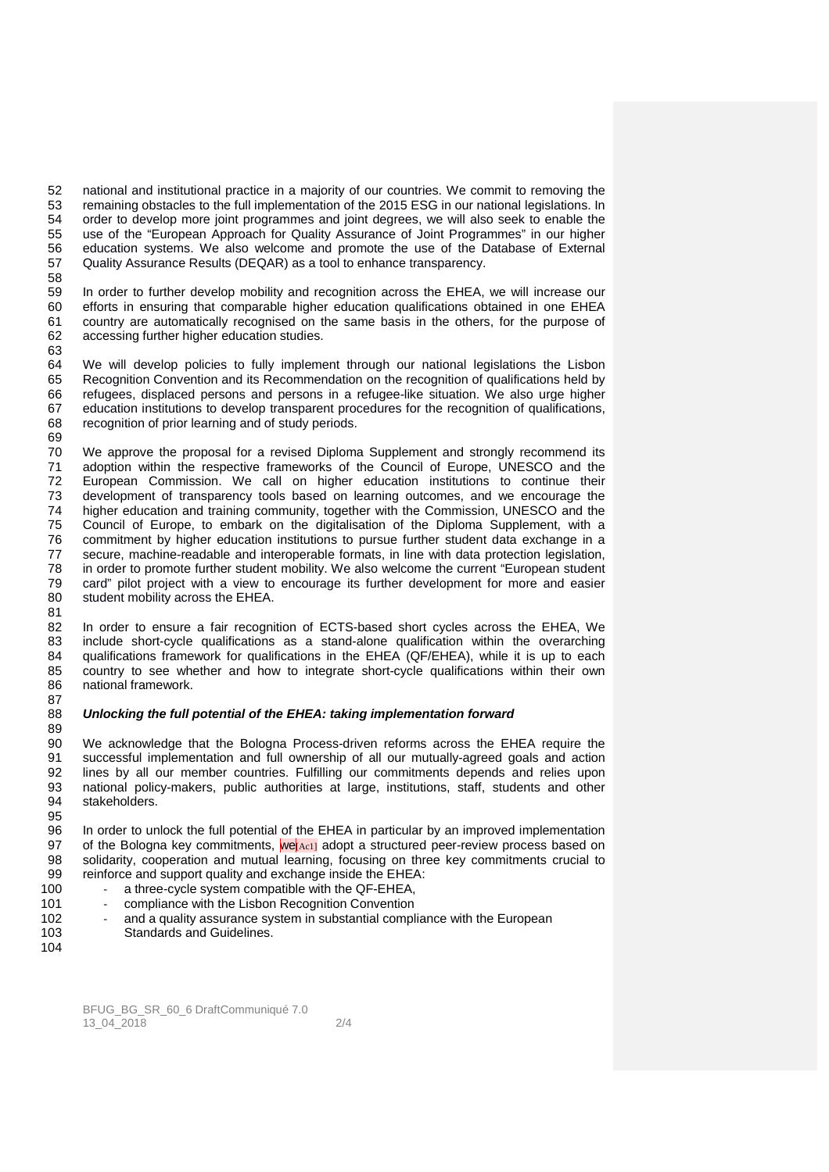52 national and institutional practice in a majority of our countries. We commit to removing the 53 remaining obstacles to the full implementation of the 2015 ESG in our national legislations. In<br>54 order to develop more joint programmes and joint degrees, we will also seek to enable the order to develop more joint programmes and joint degrees, we will also seek to enable the 55 use of the "European Approach for Quality Assurance of Joint Programmes" in our higher 56 education systems. We also welcome and promote the use of the Database of External 57 Quality Assurance Results (DEQAR) as a tool to enhance transparency. 58

59 In order to further develop mobility and recognition across the EHEA, we will increase our 60 efforts in ensuring that comparable higher education qualifications obtained in one EHEA 61 country are automatically recognised on the same basis in the others, for the purpose of 62 accessing further higher education studies.

64 We will develop policies to fully implement through our national legislations the Lisbon 65 Recognition Convention and its Recommendation on the recognition of qualifications held by 66 refugees, displaced persons and persons in a refugee-like situation. We also urge higher 67 education institutions to develop transparent procedures for the recognition of qualifications,<br>68 recognition of prior learning and of study periods recognition of prior learning and of study periods. 69

70 We approve the proposal for a revised Diploma Supplement and strongly recommend its<br>71 adoption within the respective frameworks of the Council of Europe. UNESCO and the adoption within the respective frameworks of the Council of Europe, UNESCO and the 72 European Commission. We call on higher education institutions to continue their 73 development of transparency tools based on learning outcomes, and we encourage the<br>74 bigher education and training community, together with the Commission, UNESCO and the 74 higher education and training community, together with the Commission, UNESCO and the 75 Council of Europe, to embark on the digitalisation of the Diploma Supplement, with a 75 Council of Europe, to embark on the digitalisation of the Diploma Supplement, with a<br>76 commitment by higher education institutions to pursue further student data exchange in a commitment by higher education institutions to pursue further student data exchange in a 77 secure, machine-readable and interoperable formats, in line with data protection legislation, 78 in order to promote further student mobility. We also welcome the current "European student 79 card" pilot project with a view to encourage its further development for more and easier 80 student mobility across the EHEA.

82 In order to ensure a fair recognition of ECTS-based short cycles across the EHEA, We 83 include short-cycle qualifications as a stand-alone qualification within the overarching 84 qualifications framework for qualifications in the EHEA (QF/EHEA), while it is up to each 85 country to see whether and how to integrate short-cycle qualifications within their own 86 national framework. 87

### 88 **Unlocking the full potential of the EHEA: taking implementation forward**

89 90 We acknowledge that the Bologna Process-driven reforms across the EHEA require the successful implementation and full ownership of all our mutually-agreed goals and action successful implementation and full ownership of all our mutually-agreed goals and action 92 lines by all our member countries. Fulfilling our commitments depends and relies upon national policy-makers, public authorities at large institutions, staff, students and other national policy-makers, public authorities at large, institutions, staff, students and other 94 stakeholders.

95 96 In order to unlock the full potential of the EHEA in particular by an improved implementation<br>97 of the Bologna key commitments, welged adopt a structured peer-review process based on 97 of the Bologna key commitments,  $|\text{w}e|_{\text{Ac1}}|$  adopt a structured peer-review process based on solidarity, cooperation and mutual learning, focusing on three key commitments crucial to solidarity, cooperation and mutual learning, focusing on three key commitments crucial to 99 reinforce and support quality and exchange inside the EHEA:

- 100 a three-cycle system compatible with the QF-EHEA,
- 101 compliance with the Lisbon Recognition Convention
- 102 and a quality assurance system in substantial compliance with the European 103 Standards and Guidelines.
- 104

63

81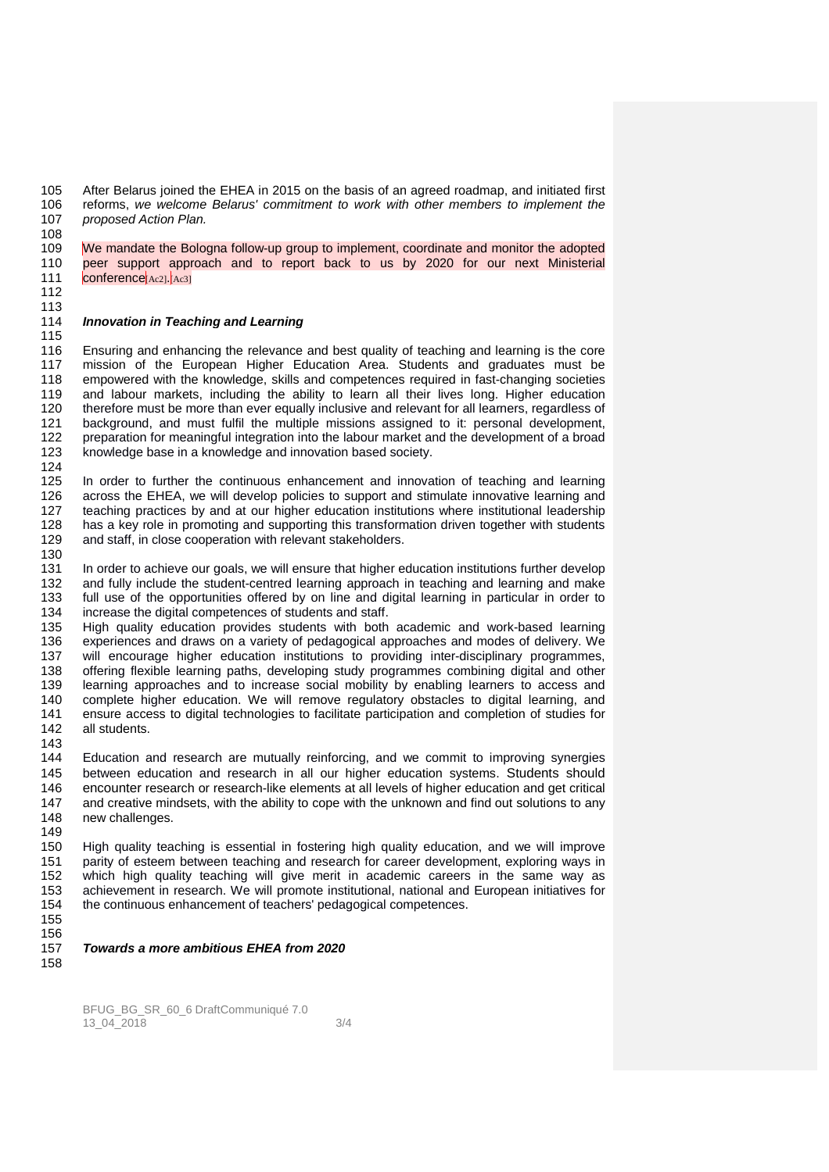105 After Belarus joined the EHEA in 2015 on the basis of an agreed roadmap, and initiated first 106 reforms, we welcome Belarus' commitment to work with other members to implement the reforms, we welcome Belarus' commitment to work with other members to implement the 107 *proposed Action Plan.* 108

109 We mandate the Bologna follow-up group to implement, coordinate and monitor the adopted 110 peer support approach and to report back to us by 2020 for our next Ministerial  $111$  conference  $A_{c21}$ ,  $A_{c31}$ 

112 113

115

## 114 **Innovation in Teaching and Learning**

116 Ensuring and enhancing the relevance and best quality of teaching and learning is the core<br>117 mission of the European Higher Education Area. Students and graduates must be 117 mission of the European Higher Education Area. Students and graduates must be 118 empowered with the knowledge, skills and competences required in fast-changing societies 119 and labour markets, including the ability to learn all their lives long. Higher education 120 therefore must be more than ever equally inclusive and relevant for all learners, regardless of 121 background and must fulfil the multiple missions assigned to it: personal development 121 background, and must fulfil the multiple missions assigned to it: personal development,<br>122 preparation for meaningful integration into the labour market and the development of a broad preparation for meaningful integration into the labour market and the development of a broad 123 knowledge base in a knowledge and innovation based society. 124

125 In order to further the continuous enhancement and innovation of teaching and learning 126 across the EHEA, we will develop policies to support and stimulate innovative learning and 127 teaching practices by and at our higher education institutions where institutional leadership<br>128 has a key role in promoting and supporting this transformation driven together with students 128 has a key role in promoting and supporting this transformation driven together with students 129 and staff, in close cooperation with relevant stakeholders. and staff, in close cooperation with relevant stakeholders.

130 131 In order to achieve our goals, we will ensure that higher education institutions further develop 132 and fully include the student-centred learning approach in teaching and learning and make 133 full use of the opportunities offered by on line and digital learning in particular in order to 134 increase the digital competences of students and staff.

135 High quality education provides students with both academic and work-based learning 136 experiences and draws on a variety of pedagogical approaches and modes of delivery. We 137 will encourage higher education institutions to providing inter-disciplinary programmes, 138 offering flexible learning paths, developing study programmes combining digital and other<br>139 learning approaches and to increase social mobility by enabling learners to access and 139 learning approaches and to increase social mobility by enabling learners to access and<br>140 complete higher education. We will remove regulatory obstacles to digital learning, and complete higher education. We will remove regulatory obstacles to digital learning, and 141 ensure access to digital technologies to facilitate participation and completion of studies for 142 all students.

143<br>144 Education and research are mutually reinforcing, and we commit to improving synergies 145 between education and research in all our higher education systems. Students should 146 encounter research or research-like elements at all levels of higher education and get critical<br>147 and creative mindsets, with the ability to cope with the unknown and find out solutions to any 147 and creative mindsets, with the ability to cope with the unknown and find out solutions to any<br>148 onew challenges new challenges. 149

150 High quality teaching is essential in fostering high quality education, and we will improve 151 parity of esteem between teaching and research for career development, exploring ways in<br>152 which high quality teaching will give merit in academic careers in the same way as which high quality teaching will give merit in academic careers in the same way as 153 achievement in research. We will promote institutional, national and European initiatives for 154 the continuous enhancement of teachers' pedagogical competences.

155 156

157 **Towards a more ambitious EHEA from 2020** 

158

BFUG\_BG\_SR\_60\_6 DraftCommuniqué 7.0 13\_04\_2018 3/4